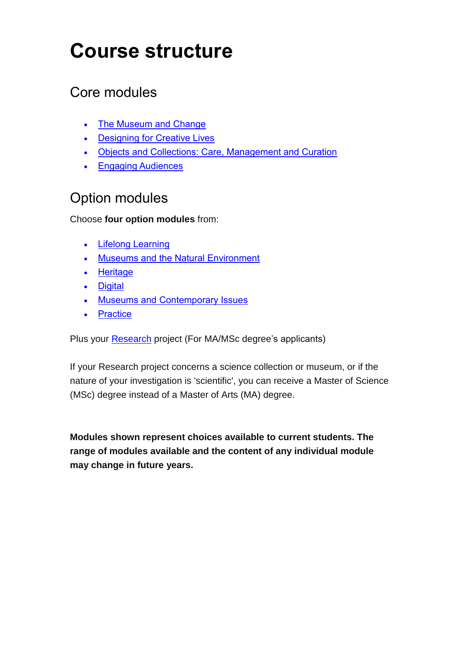## **Course structure**

## Core modules

- [The Museum and Change](#page-1-0)
- [Designing for Creative Lives](#page-2-0)
- Objects and [Collections: Care, Management and Curation](#page-3-0)
- [Engaging Audiences](#page-4-0)

## Option modules

Choose **four option modules** from:

- [Lifelong Learning](#page-5-0)
- [Museums and the Natural Environment](#page-6-0)
- [Heritage](#page-7-0)
- **•** [Digital](#page-8-0)
- [Museums and Contemporary Issues](#page-9-0)
- [Practice](#page-10-0)

Plus your [Research](#page-11-0) project (For MA/MSc degree's applicants)

If your Research project concerns a science collection or museum, or if the nature of your investigation is 'scientific', you can receive a Master of Science (MSc) degree instead of a Master of Arts (MA) degree.

**Modules shown represent choices available to current students. The range of modules available and the content of any individual module may change in future years.**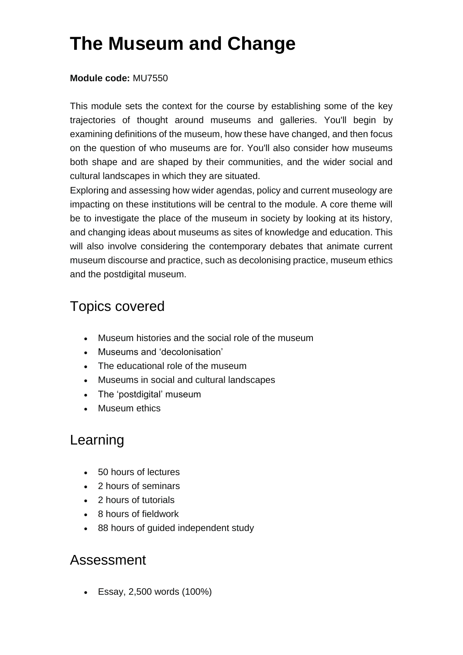## <span id="page-1-0"></span>**The Museum and Change**

#### **Module code:** MU7550

This module sets the context for the course by establishing some of the key trajectories of thought around museums and galleries. You'll begin by examining definitions of the museum, how these have changed, and then focus on the question of who museums are for. You'll also consider how museums both shape and are shaped by their communities, and the wider social and cultural landscapes in which they are situated.

Exploring and assessing how wider agendas, policy and current museology are impacting on these institutions will be central to the module. A core theme will be to investigate the place of the museum in society by looking at its history, and changing ideas about museums as sites of knowledge and education. This will also involve considering the contemporary debates that animate current museum discourse and practice, such as decolonising practice, museum ethics and the postdigital museum.

## Topics covered

- Museum histories and the social role of the museum
- Museums and 'decolonisation'
- The educational role of the museum
- Museums in social and cultural landscapes
- The 'postdigital' museum
- Museum ethics

### Learning

- 50 hours of lectures
- 2 hours of seminars
- 2 hours of tutorials
- 8 hours of fieldwork
- 88 hours of guided independent study

### Assessment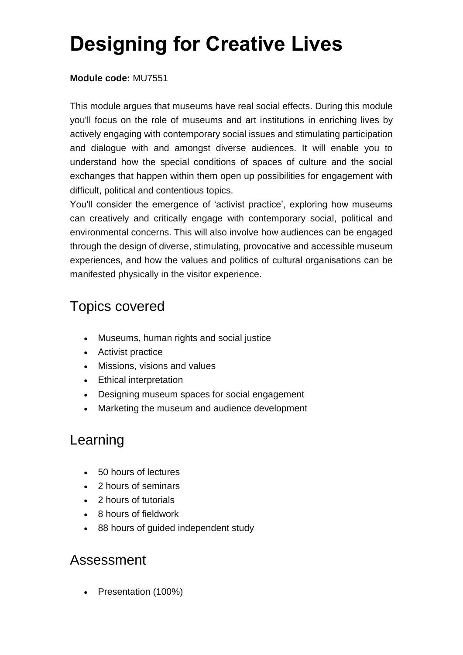## <span id="page-2-0"></span>**Designing for Creative Lives**

#### **Module code:** MU7551

This module argues that museums have real social effects. During this module you'll focus on the role of museums and art institutions in enriching lives by actively engaging with contemporary social issues and stimulating participation and dialogue with and amongst diverse audiences. It will enable you to understand how the special conditions of spaces of culture and the social exchanges that happen within them open up possibilities for engagement with difficult, political and contentious topics.

You'll consider the emergence of 'activist practice', exploring how museums can creatively and critically engage with contemporary social, political and environmental concerns. This will also involve how audiences can be engaged through the design of diverse, stimulating, provocative and accessible museum experiences, and how the values and politics of cultural organisations can be manifested physically in the visitor experience.

## Topics covered

- Museums, human rights and social justice
- Activist practice
- Missions, visions and values
- Ethical interpretation
- Designing museum spaces for social engagement
- Marketing the museum and audience development

## Learning

- 50 hours of lectures
- 2 hours of seminars
- 2 hours of tutorials
- 8 hours of fieldwork
- 88 hours of guided independent study

### Assessment

Presentation (100%)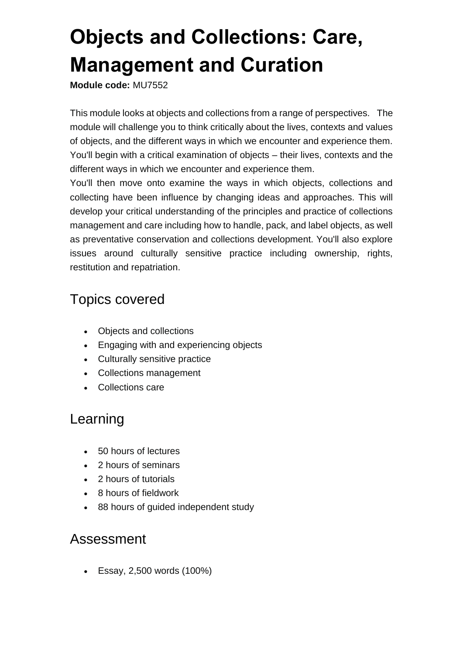## <span id="page-3-0"></span>**Objects and Collections: Care, Management and Curation**

**Module code:** MU7552

This module looks at objects and collections from a range of perspectives. The module will challenge you to think critically about the lives, contexts and values of objects, and the different ways in which we encounter and experience them. You'll begin with a critical examination of objects – their lives, contexts and the different ways in which we encounter and experience them.

You'll then move onto examine the ways in which objects, collections and collecting have been influence by changing ideas and approaches. This will develop your critical understanding of the principles and practice of collections management and care including how to handle, pack, and label objects, as well as preventative conservation and collections development. You'll also explore issues around culturally sensitive practice including ownership, rights, restitution and repatriation.

## Topics covered

- Objects and collections
- Engaging with and experiencing objects
- Culturally sensitive practice
- Collections management
- Collections care

## Learning

- 50 hours of lectures
- 2 hours of seminars
- 2 hours of tutorials
- 8 hours of fieldwork
- 88 hours of guided independent study

### Assessment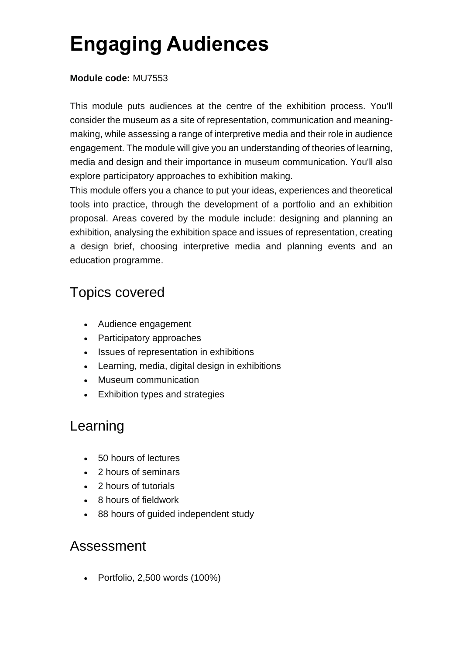## <span id="page-4-0"></span>**Engaging Audiences**

#### **Module code:** MU7553

This module puts audiences at the centre of the exhibition process. You'll consider the museum as a site of representation, communication and meaningmaking, while assessing a range of interpretive media and their role in audience engagement. The module will give you an understanding of theories of learning, media and design and their importance in museum communication. You'll also explore participatory approaches to exhibition making.

This module offers you a chance to put your ideas, experiences and theoretical tools into practice, through the development of a portfolio and an exhibition proposal. Areas covered by the module include: designing and planning an exhibition, analysing the exhibition space and issues of representation, creating a design brief, choosing interpretive media and planning events and an education programme.

## Topics covered

- Audience engagement
- Participatory approaches
- Issues of representation in exhibitions
- Learning, media, digital design in exhibitions
- Museum communication
- Exhibition types and strategies

## Learning

- 50 hours of lectures
- 2 hours of seminars
- 2 hours of tutorials
- 8 hours of fieldwork
- 88 hours of guided independent study

### Assessment

Portfolio, 2,500 words (100%)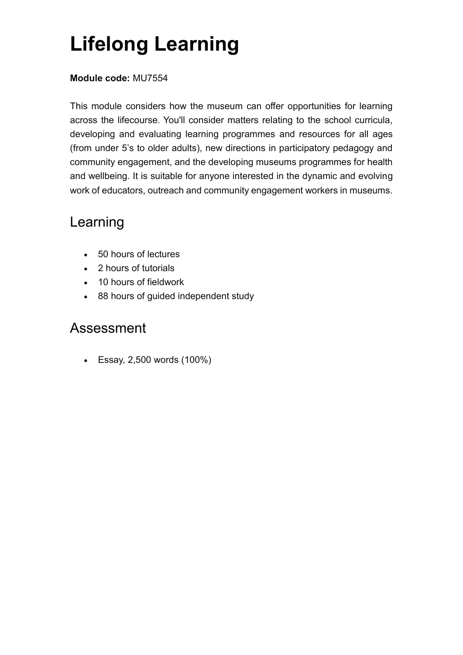## <span id="page-5-0"></span>**Lifelong Learning**

#### **Module code:** MU7554

This module considers how the museum can offer opportunities for learning across the lifecourse. You'll consider matters relating to the school curricula, developing and evaluating learning programmes and resources for all ages (from under 5's to older adults), new directions in participatory pedagogy and community engagement, and the developing museums programmes for health and wellbeing. It is suitable for anyone interested in the dynamic and evolving work of educators, outreach and community engagement workers in museums.

## Learning

- 50 hours of lectures
- 2 hours of tutorials
- 10 hours of fieldwork
- 88 hours of guided independent study

### Assessment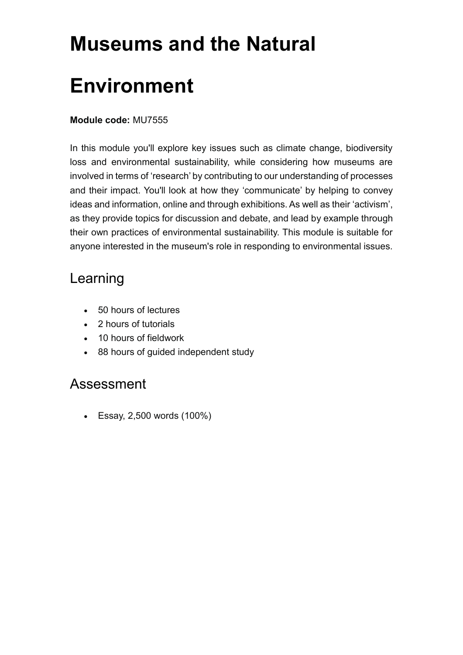# <span id="page-6-0"></span>**Museums and the Natural Environment**

#### **Module code:** MU7555

In this module you'll explore key issues such as climate change, biodiversity loss and environmental sustainability, while considering how museums are involved in terms of 'research' by contributing to our understanding of processes and their impact. You'll look at how they 'communicate' by helping to convey ideas and information, online and through exhibitions. As well as their 'activism', as they provide topics for discussion and debate, and lead by example through their own practices of environmental sustainability. This module is suitable for anyone interested in the museum's role in responding to environmental issues.

## Learning

- 50 hours of lectures
- 2 hours of tutorials
- 10 hours of fieldwork
- 88 hours of guided independent study

### Assessment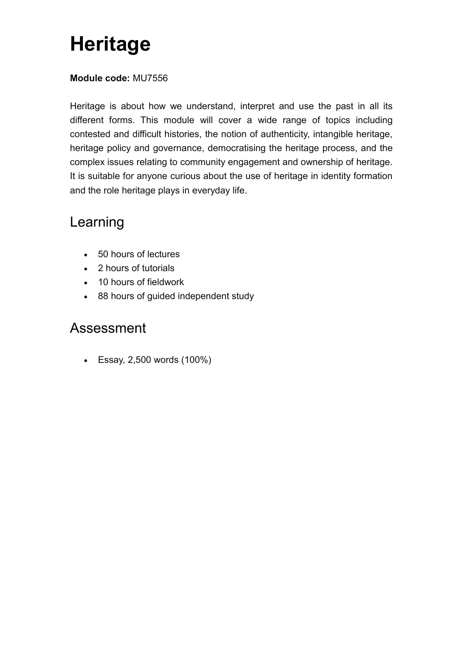## <span id="page-7-0"></span>**Heritage**

#### **Module code:** MU7556

Heritage is about how we understand, interpret and use the past in all its different forms. This module will cover a wide range of topics including contested and difficult histories, the notion of authenticity, intangible heritage, heritage policy and governance, democratising the heritage process, and the complex issues relating to community engagement and ownership of heritage. It is suitable for anyone curious about the use of heritage in identity formation and the role heritage plays in everyday life.

## Learning

- 50 hours of lectures
- 2 hours of tutorials
- 10 hours of fieldwork
- 88 hours of guided independent study

### Assessment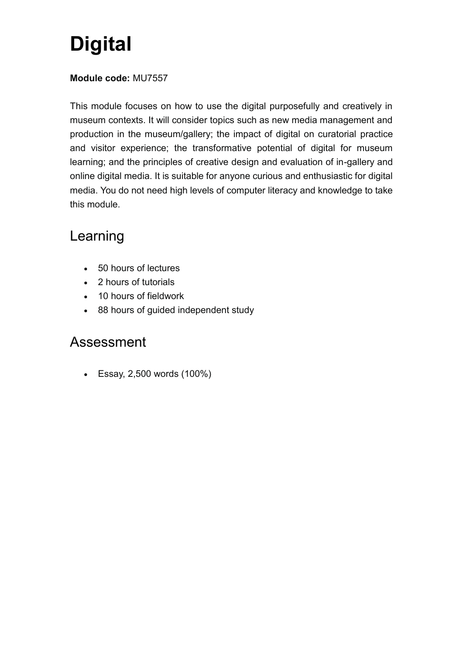## <span id="page-8-0"></span>**Digital**

#### **Module code:** MU7557

This module focuses on how to use the digital purposefully and creatively in museum contexts. It will consider topics such as new media management and production in the museum/gallery; the impact of digital on curatorial practice and visitor experience; the transformative potential of digital for museum learning; and the principles of creative design and evaluation of in-gallery and online digital media. It is suitable for anyone curious and enthusiastic for digital media. You do not need high levels of computer literacy and knowledge to take this module.

## Learning

- 50 hours of lectures
- 2 hours of tutorials
- 10 hours of fieldwork
- 88 hours of guided independent study

### Assessment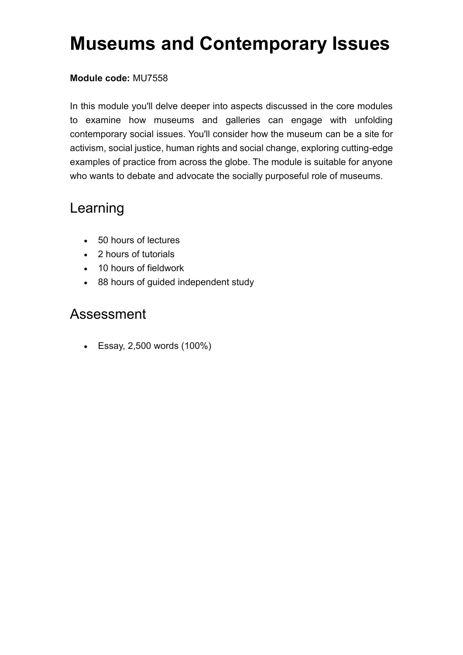## <span id="page-9-0"></span>**Museums and Contemporary Issues**

#### **Module code:** MU7558

In this module you'll delve deeper into aspects discussed in the core modules to examine how museums and galleries can engage with unfolding contemporary social issues. You'll consider how the museum can be a site for activism, social justice, human rights and social change, exploring cutting-edge examples of practice from across the globe. The module is suitable for anyone who wants to debate and advocate the socially purposeful role of museums.

## Learning

- 50 hours of lectures
- 2 hours of tutorials
- 10 hours of fieldwork
- 88 hours of guided independent study

### Assessment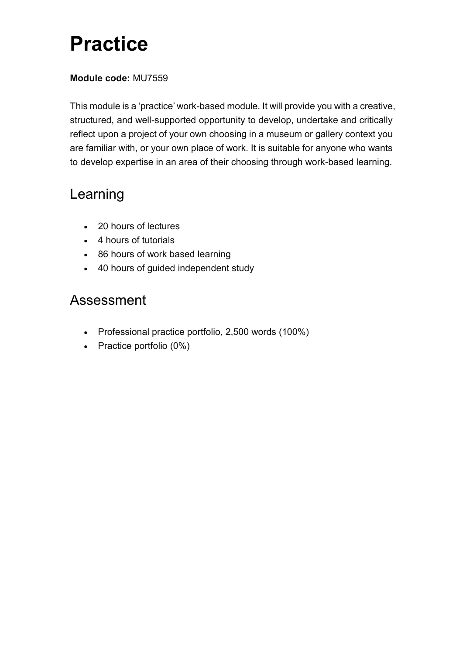## <span id="page-10-0"></span>**Practice**

#### **Module code:** MU7559

This module is a 'practice' work-based module. It will provide you with a creative, structured, and well-supported opportunity to develop, undertake and critically reflect upon a project of your own choosing in a museum or gallery context you are familiar with, or your own place of work. It is suitable for anyone who wants to develop expertise in an area of their choosing through work-based learning.

## Learning

- 20 hours of lectures
- 4 hours of tutorials
- 86 hours of work based learning
- 40 hours of guided independent study

## Assessment

- Professional practice portfolio, 2,500 words (100%)
- Practice portfolio (0%)